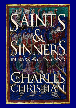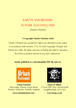# SAINTS AND SINNERS IN DARK AGE ENGLAND

#### Charles Christian

#### **© Copyright Charles Christian 2020**

Charles Christian has asserted his right to be identified as the author in accordance with sections 77 & 78 of the Copyright, Designs and Patents Act 1988. All rights reserved, including the right to reproduce this book or portions thereof in any form whatsoever.

#### **Jointly published as a downloadable PDF file only by:**



**Urban Fantasist** Oak Lodge, Darrow Green Road, Denton, Harleston, Norfolk, England



**Heart of Albion** 2 Cross Hill Close, Wymeswold Loughborough, LE12 6UJ

#### **www.urbanfantasist.com**

**www.hoap.co.uk**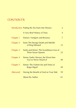## **CONTENTS**

|                  | Introduction Putting the Sex back into Wessex                           | 2               |
|------------------|-------------------------------------------------------------------------|-----------------|
|                  | A Very Brief History of Time                                            | $\overline{4}$  |
| Chapter 1        | Sinners: Vortigern and Rowena                                           | $\overline{7}$  |
| Chapter 2        | Saint: The Strange Death and Afterlife<br>of King Edmund                | 12 <sup>°</sup> |
| Chapter 3        | Saints and Sinner: The Scandalous Lives of<br><b>Three Saxon Queens</b> | 23              |
| <b>Chapter 4</b> | Sinner: Eadric Streona, the Worst Man<br>You've Never Heard of          | 40              |
| Chapter 5        | Sinner: The Violent Life and Times of<br>Roger Bigod                    | 49              |
| Afterword        | Having the Benefit of God on Your Side                                  | 59              |
|                  | <b>About the Author</b>                                                 | 61              |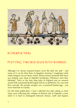

### INTRODUCTION:

### PUTTING THE SEX BACK INTO WESSEX

Although I've always enjoyed history (even the dull, dry stuff – and some of it can be drier than an Egyptian mummy's wrappings) what really intrigues me are those weird, almost surreal moments that leave you shaking your head in disbelief wondering "Whatever were they thinking?" Such as the time King John of England sent an assassin armed with a poisoned boiled egg to kill an ex-girlfriend. Yes, you read that correctly, the murder weapon was a poisoned boiled egg – you won't find that in Cluedo.

For this brief publication, I have collected five tales taking us from misty years following the collapse of Roman rule in England, a time when it is hard to distinguish between history, myth and legend,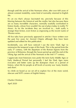through until the arrival of the Normans when, after over 600 years of almost constant instability, some kind of normality returned to English life.

It's an era that's always fascinated me, precisely because of this blurring between the historical and the mythic but also because there are so many incredible characters, normally woefully overlooked in history books, whose lives wouldn't be out of place today in reality TV shows. As for the incidents they are involved in… truth really is stranger than fiction, even fiction as engrossing as the recent *Game of Thrones* series.

All five tales have previously appeared in articles I have written over the past five years for *Ancient Origins* although they have been updated and edited for this publication.

Incidentally, you will have noticed I use the term 'Dark Age' to summarise the temporal scope of this book. This is the period from the early  $5<sup>th</sup>$  century, with the departure of the Roman legions from the province of Britannia, through the Saxon period up until the end of the Viking Age and the arrival of the Normans in the mid  $11<sup>th</sup>$  century.

I appreciate most historians now prefer the term Early Middle Ages or Early Medieval Period but personally I feel the Dark Ages more evocative and better sums up the dystopian chaos of a period of history, when life for people at all levels of society was 'nasty, brutish, and short'.

So climb on board as we set off to explore five of the more weird, obscure and WTF corners of English history.

Charles Christian April 2020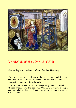

### A VERY BRIEF HISTORY OF TIME

#### **with apologies to the late Professor Stephen Hawking**

When researching this book, one of the aspects that puzzled me was why there was so much discrepancy in the dates attributed to supposedly important historical events.

For example one account tells of a siege being raised on March  $21<sup>st</sup>$ whereas another says the date was May 25<sup>th</sup>. Similarly, a king is recorded as being killed in AD 869 in one chronicle but one year later in 870 in another.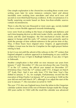One simple explanation is the chroniclers recording these events were writing years later (in some instances centuries later) and almost inevitably were working from anecdotes and what we'd now call second or even third-hand hearsay evidence. In the circumstances it is hardly surprising accounts based on these less-than-reliable sources contain inconsistencies.

There is also the fact one thousand or more years ago, society tended to have a more flexible approach towards timekeeping.

Lives were lived according to the hours of daylight and darkness and such time-keeping devices as did exist (water clocks, sun-dials, candle clocks and the sand hourglass– the first mechanical clocks did not appear in Europe until the early  $14<sup>th</sup>$  century) were primarily used to mark the passage of time without reference to the precise time of day. Thus, if three hours have elapsed since *Vespers,* at approximately 6:00pm, it must now be time for *Compline* (or the night prayer) before retiring to bed.

In fact it was not until the advent of the railways in the  $19<sup>th</sup>$  century that England adopted a uniform approach to timekeeping so you could be certain that if it was 3:15pm in Budleigh Salterton, if was also 3:15pm in Sidmouth.

Another complication is that while we now measure our years from January 1<sup>st</sup> until December 31<sup>st</sup>, this was not always the case. From the  $7<sup>th</sup>$  to the 12<sup>th</sup> century, the official year started on December 25<sup>th</sup> (Christmas Day). From the  $12<sup>th</sup>$  century until 1751, it began on March  $25<sup>th</sup>$  (Lady Day). And it was only from 1752 that New Year's Day shifted to January 1<sup>st</sup>. So, for example, Parliamentary record lists the execution of King Charles I on January  $30<sup>th</sup>$  as occurring in 1648 (as the year did not end until March  $24<sup>th</sup>$ ), although if we adjust the start of the year to January 1<sup>st</sup>, the execution occurred in 1649.

The year 1752 also saw England move from the Julian to the Gregorian calendar systems (most of the rest of Western Europe made the change 200 years earlier in 1582) with the result the calendar was advanced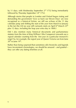by 11 days, with Wednesday September  $2<sup>nd</sup>$  1752 being immediately followed by Thursday September 14<sup>th</sup> 1752.

Although stories that people in London and Oxford began rioting and demanding the government 'Give us back our Eleven Days' are now recognised as a historical fiction, we still see echoes of the 11 day calendar jump and shifting the start of the year from March to January in the fact the UK tax year still curiously starts on April  $6<sup>th</sup>$  (March 25<sup>th</sup>) plus 12 days, including the leap year extra day in 1800.)

Did I also mention many historical documents and parliamentary statutes from the time of King William I (the Conqueror) onwards use a *regnal* calendar counting from the first year of a particular monarch's reign? So, for example, the regnal year of Queen Victoria ran from June  $20^{\text{th}}$  to June 19<sup>th</sup>.

Rather than being surprised that sometimes old chronicles and legends have inconsistent chronologies, we should be amazed – and grateful – they can offer any dating timelines at all.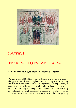

### C<sub>b</sub>APTER 1

### SINNERS: VORTIGERN AND ROWENA

#### **How lust for a blue-eyed blonde destroyed a kingdom**

Wassailing is an old traditional, primarily rural English festivity, usually taking place around Twelfth Night or Plough Monday (the first Monday after Twelfth Night) that has enjoyed a huge resurgence of popularity in recent years. It involves music, singing, cider drinking, bonfires, and varieties of mumming, including traditional plays and performances by bell bedecked Morris, all supposedly designed to reawaken the spirits of the orchards from their winter dormancy for the new growing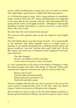season, while simultaneously scaring away any evil spirits or witches that might blight a good harvest of apples the following autumn.

It is all distinctly pagan in tone, with a strong element of sympathetic magic involved. One early  $20<sup>th</sup>$  century anthropologist even suggested it was more akin to tree worship, with the cider representing the lifegiving 'blood' of the sacred apple orchards – although for most people attending a modern wassailing, it is just an excuse for a party and to drink cider, lots of cider.

But what does the word *wassail* mean anyway?

The answer to this question takes us into the realms of early English history.

The Old English phrase *was hael* meant 'be hale', 'be in good health' or 'be fortunate' and, while originally used as a simple salute or greeting, it very quickly developed into a drinking formula where one person would say "was hail" and the other reply "drink hail". By the 8th century, the word was so well-known that it appeared in the epic poem *Beowulf*…

> The rider sleepeth, the hero, far-hidden; no harp resounds, in the courts no wassail, as once was heard.

It is also reported that on the dawn of the Battle of Hastings in 1066, the Saxons toasted each other with shouts of "Wassail!" before they marched off to fight the Normans and, sadly for many of them, die…

> Rejoice and wassail Pass the bottle and drink healthy Drink backwards and drink to me Drink half and drink empty.

However tradition tells that the very first occurrence of the use on the word wassail in England dates back to AD 449, when the Roman Empire's hold on its province of Britannia had collapsed.

The rot had set in from as early as AD 383 when Magnus Maximus, a Roman general stationed in Britain, moved his troops to Gaul in what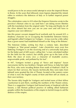would prove to be an unsuccessful attempt to seize the imperial throne in Rome. In the years that followed, more legions departed the island, either to reinforce the defences of Italy or in further imperial power struggles.

The culmination came in 410 when the Emperor Honorius wrote to the province's Roman cities to say (and here I am taking severe liberties with the translation from the original Latin) "So long and thanks for all the silver *denarii* but now you are on your own and will have to organise your own defences."

Into this power vacuum stepped local warlords and, by around 425, a shadowy character (as in occupying the borderline between history and legend) called Vortigern (or Vortigen – it may even be a title rather than a given name) had established himself as the 'King of the Britons'.

The historian Gildas, writing less than a century later, described Vortigern as "that proud usurper". Later chroniclers were even less flattering (Vortigern is on the receiving end of a universally bad press for the better part of 600 years), calling him "a man calculated neither for the field nor the council, but wholly given up to the lusts of the flesh, the slave of every vice: a character of insatiable avarice, ungovernable pride, and polluted by his lust".

In 447, Vortigern invited a group of "fierce and impious" Saxon mercenaries led by two brothers: Hengist and Horsa, to help him fight the Picts, who were invading Britain from north of Hadrian's Wall. In return for their services, the Saxons (technically they were Jutes from Jutland) were granted the Isle of Thanet, located at the eastern corner of what is now the English county of Kent and then still an island, as their own territory.

The Saxons duly fought for Vortigern and invited more of their fellow countryman to join them, swelling the numbers of the Thanet colony. There is a suggestion Vortigern had formed treaty of *foederati* with the Saxons, a late Roman political practice of settling allied barbarian peoples within the boundaries of the empire to furnish troops to aid the defence of the empire.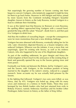Not surprisingly the growing number of Saxons coming into Kent began to concern Vortigern, who tentatively suggested it might be time for them to go back home. However in 449 Hengist and Horsa, joined by more Saxons from the Continent including Hengist's beautiful daughter, known to history as the Lady Rowena, invited Vortigern to a feast to celebrate their friendship.

It was at this fateful feast that Rowena (or Ronwen or even Ravenna, the spelling differs) approached King Vortigern with a wassail bowl, greeted the king with the salute "Wassail", drank from it, and then past it to Vortigern to drink from.

And thus the tradition of wassailing began – except the consequences were far more momentous than just a new drinking challenge.

Vortigern became obsessed with Rowena, eventually taking her for his wife. Later chroniclers depicted Rowena as a brazen temptress who seduced Vortigern. Whoever was the initiator, it was a move that, not surprisingly, upset his existing wife Severa, as well as his mistress Cateym, who also happened to be one of his illegitimate daughters.

As part of the wedding settlement, he gave Hengist and Horsa the whole kingdom of Kent (much to the annoyance of the existing King of Kent) and generally opened the way to the Saxons gaining more and more power.

Eventually war broke out between the Britons, led by Vortigern's sons, and the Saxons, with Vortigern, in the invidious position of being married to the daughter of his nation's enemy, reduced to a puppet monarch. Some accounts say he was actually held prisoner by the Saxons.

In the fighting that followed, Vortigern's two sons were killed, as was Horsa, and, by 455, Vortigern was holed up, along with his many wives and mistresses in a fortress in North Wales. There they were besieged by two British leaders who had just returned from exile in Brittany (France), namely Ambrosius Aurelinus and his brother Uther Pendragon, better known to history as the father of King Arthur.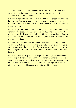The fortress was set alight. One chronicle says fire fell from Heaven to engulf the castle, and everyone inside (including Vortigern and Rowena) was burned to death.

In a neat historical twist, Ambrosius and Uther are described as being the sons of Constans, another general with ambitions to seize the imperial throne in Rome but who had been killed as a result of Vortigern's treachery.

As for Hengist, he may have lost a daughter but he continued to rule Kent until his death over 30 years later in 488 and sired a dynasty of Kentish kings. To this day, the emblem of Kent is a white horse (*hengist* is Old English for stallion) on a red background, said to be Hengist's original battle flag.

And with that we end our first encounter with Dark Age sinners: a randy, old British king whose lust for a blonde-haired, blue-eyed Saxon temptress destroyed the integrity of a kingdom and opened the way for the subjugation of the old Roman province of Britannia by the Anglo-Saxons.

As we shall see in Chapter 3, the Anglo-Saxon kings were no better at preventing lust from overcoming their better judgment – especially given the ruthless, scheming nature of some of the women they encountered. But, before that, it is time for the saga of a saint who ultimately vanquished his enemy from beyond the grave.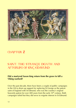

### C<sub>b</sub>A<sub>PT</sub>ER<sub>2</sub>

### SAINT: THE STRANGE DEATH AND AFTERLIFE OF KING EDMUND

#### **Did a martyred Saxon king return from the grave to kill a Viking warlord?**

Over the past decade, there have been a couple of public campaigns in the UK to drum up support for replacing St George as the patron saint of England with St Edmund, who was the country's original heavenly patron for over 400 years from the early  $10<sup>th</sup>$  century. Both campaigns failed but they did serve to reignite interest in St Edmund.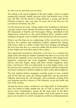So who was he and what was his story?

The setting is the Saxon kingdom of the East Angles, which occupied modern-day Norfolk, Suffolk and part of the Lincolnshire Fens, in the year AD 869. On the throne is King Edmund, a young and devout Christian monarch, who was only  $14$  years old at the time he was crowned on Christmas Day 855.

For the previous 60 years, Viking raiders from Scandinavia had been carrying outever more bloody hit-and-run attacks on England but in 865 thousands of Danish and Norwegian Vikings, described in the *Anglo-Saxon Chronicle* as 'the Great Heathen Army', landed in their longships along the coast of Suffolk and launched an all-out invasion.

History says the king was on a pilgrimage at this crucial time so in his absence, his courtiers and *ealdormen* (nobles) supplied the Vikings with horses, both as a bribe to deter them from looting and pillaging the local area but also as a none-too subtle hint for them to move out of East Anglia and raid other parts of the country.

Such apparently treacherous disloyalty in the face of a common foe might seem shocking by modern standards but there was no love lost between the England's seven rival Saxon kingdoms. (The Anglo-Saxon heptarchy comprised four main kingdoms: Northumbria, Wessex, Mercia, and East Anglia, along with three smaller kingdoms: Kent, Essex, and Sussex.) This was particularly so in East Anglia where, over the previous two centuries, several of its monarchs had been deposed, executed, murdered or killed in battle by rulers of the other kingdoms.

The East Anglian bribery stratagem certainly seems to have worked and, for the next few years, the Vikings fought their way up and down England, destroying the old dynasties and eventually creating their own separate province, known as The Danelaw, across the North and East of the country.

Among the Saxon rulers overthrown was King Aella of Northumbria who was killed in battle outside the city of York in March 867. (In Saxon times 'Northumbria' meant all the land north of the River Humber and south of the Scottish border.) And at this point we must pause our narrative for a brief comparison of almost contemporaneous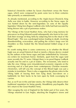historical chronicles written by Saxon churchmen versus the Norse sagas, which were composed by poets some two to three centuries later primarily as entertainment.

As already mentioned, according to the *Anglo-Saxon Chronicle*, King Aella was slain in battle. However according to the Norse sagas, he was hunted down by the semi-legendary six sons of the equally legendary Viking hero Ragnar Lodbrok who Aella had had executed by being thrown into a pit of poisonous snakes.

The Vikings of the Great Heathen Army, who had a long memory for grievances (as King Edmund would subsequently also learn to his cost), took their revenge on King Aella by subjecting him to the ritual of 'the Blood Eagle'. This was a prolonged torture leading to death, involving disembowelling, evisceration, and pulling the victim's lungs over his shoulders so they looked like the blood-stained folded wings of an eagle.

It's worth noting there is some controversy as to whether the Blood Eagle was an actual historical ritual or merely a literary device created by the authors of the Norse sagas and later embellished by Victorianera writers for maximum horror. Similarly, apart from the sagas (and more recently the TV series *Vikings*) there is no proof Ragnar Lodbrok actually met his end in a pit of snakes. The revisionists, who tend to take the view Vikings were misunderstood economic migrants on the receiving end of a bad press from contemporary Christian monastic chroniclers, will tell you the concept of the Blood Eagle was just a mistake in translation. There is also a suggestion the phrase refers to the Viking habit of leaving their foes lying dead, face-down on a battlefield, for their backs to be torn open by birds scavenging for carrion.

But, as we'll see in this and later stories, the Vikings fully deserve their traditional reputation for being greedy, bloodthirsty psychopaths. But let's return to the Great Heathen Army.

After ravaging the rest of England for the better part of five years, the Vikings returned to East Anglia, attacking the kingdom's towns and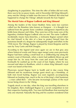slaughtering its population. This time the offer of bribes did not work, there was to be no peace treaty, and in November 869 King Edmund's army met the Vikings in battle near the town of Thetford. But what had happened to change the Vikings' attitude towards the East Angles?

#### **The Mortal Fates of Ragnar Lodbrok and King Edmund**

Among the leaders of the Great Heathen Army were two warriors called Ivar the Boneless (also known as Hyngwar – it is thought Ivar suffered from the genetic bone condition *osteogenesis imperfecta* aka brittle bone disease) and Ubba. They were two of the many sons of the legendary chieftain Ragnar Lodbrok who we met. The name 'Lodbrok' incidentally means hairy-breeches, a nickname Ragnar earned when he clad himself in the skin of a bear to protect himself from the poisonous breath of a dragon he subsequently fought and killed. In the 1958 movie *The Viking*s, Ragnar is played by Ernest Borgnine and his sons by Tony Curtis and Kirk Douglas.

According to the legend (and once again we are in that grey area where historical events and Norse sagas merge) some years previously Ragnar had been sailing a small boat on a wildfowling trip along the western coast of Denmark, when a storm had suddenly blown up and swept him far, far away from the coast and across the North Sea. Eventually he washed up on the coast of East Anglia, where he was rescued and taken to Reedham, which is where King Edmund's royal court was based at that time.

Physicians nursed Ragnar back to health and in due course King Edmund and his mysterious foreign guest struck up a friendship, as both men loved hunting. Ragnar was soon regularly accompanying Edmund on hunting trips, much to the ire of the king's chief huntsman – a man called Bern – who became increasingly jealous of the royal favour being shown to the Viking.

Tragedy struck as one day, when the king was travelling elsewhere in his kingdom, Bern challenged Ragnar to a secret competition to test their respective hunting skills. Two men left Reedham that morning but only one returned. Naturally the king and his courtiers wondered what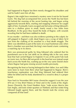had happened to Ragnar but Bern merely shrugged his shoulders and said he hadn't seen him all day.

Ragnar's fate might have remained a mystery were it not for his hound Garm. The dog had accompanied him across the North Sea but been left behind the morning of the secret hunting trip, and began acting aggressively towards Bern, snarling and snapping whenever he caught sight of him. Eventually Garm escaped and led some of King Edmund's men to a shallow grave in small, lonely wood a few miles from Reedham. In the grave they found the body of Ragnar, with wounds revealing that he had been stabbed to death.

It was murder – and there was also evidence pointing to the culprit, for still gripped in Ragnar's cold, dead fingers was a scrap of fabric he'd torn from the clothing of his assailant in a final death struggle. The fabric was identified as part of the tunic of a royal huntsman and, when Bern's chamber was searched, the king's men found a tunic containing a matching rip in its sleeve.

Bern was pronounced guilty by King Edmund who ordered that his punishment was to be cast adrift on an ebbing tide in the very same boat that had carried Ragnar to England. It was at this point Fate took an ironic turn, for Bern did not perish in the boat but was instead swept back across the North Sea, washing up on the very same Danish shore where Ragnar had gone missing several months previously.

Recognising the boat as having belonged to their father, Ivar and Ubba were keen to learn from Bern what had happened to Ragnar. Bern's treacherous explanation was that King Edmund had ordered their father be killed and his body abandoned in a wood to deny it a proper burial.

Now back to November 869 (some chronicles suggest it was the year 870 see *A Very Brief History of Time*) and in the words of the *Anglo-Saxon Chronicle*, the Great Heathen Army "rode across Mercia into East Anglia, and took winter-quarters at Thetford; and that winter King Edmund fought against them, and the Danish took the victory and conquered all that land".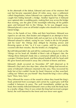In the aftermath of the defeat, Edmund and some of his retainers fled east but became separated about 20 miles away, near a settlement called *Haegelisdun*, where Edmund was captured by the Vikings who caught him hiding beneath a bridge. Another legend has it Edmund was captured after a wedding party, making their way across the bridge that evening, saw the glint of the moonlight reflecting off his golden spurs and betrayed him to the Vikings. As he was dragged away, Edmund placed a curse on all bridal couples who should ever cross the fateful bridge.

Once in the hands of Ivar, Ubba and their henchmen, Edmund was roped to an oak tree, then beaten and whipped in an attempt to force him to renounce his Christian faith and accept Ivar as his king. When Edmund refused to submit, saying he was "ready to die for his people and his God," the Vikings duly obliged by shooting arrows and throwing spears at him "as if it was a game, until he was entirely covered with their missiles, like the bristles of a hedgehog".

But still Edmund didn't die and still he continued to pray to God, so the Vikings cut his head off. Mindful of Bern's tale of Ragnar's fate, the Vikings threw Edmund's body into a communal rubbish pit, to deny it a proper Christian burial, and then played football with his head until the grew bored and tossed it away into a thicket of thorns and brier.

Edmund's death occurred on November 20<sup>th</sup> (still observed as St Edmund's Day) and a few days later, when the Vikings had moved on, some of Edmund's followers returned to the area. They recovered his body but at first couldn't locate his head. However as they searched, calling out "Where are you friend?" they heard the king's voice calling back "Here, here, here."

They followed the source of the sound to where they found the king's head, protected from scavengers and carrion by a giant grey wolf that cradled it between its paws. The wolf immediately yielded up the head, then meekly followed Edmund's men as they took the body back to a nearby village. Once it was certain the king had received a proper burial, the wolf returned to the forest and was never seen again.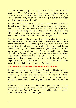There are a number of places across East Anglia that claim to be the location of *Haegelisdun* but the village Hoxne in Suffolk's Waveney Valley is the one with the longest and firmest association, including the site of Edmund's oak, which stood in a field just outside the village until it fell during a storm in 1848.

Reports at the time describe the oak as being "ancient with a trunk over 20 feet in circumference" within which were found "old iron arrow heads". (Sceptics say they were merely rusty nails.) The village even has a Goldbrook Bridge, said to be the site of Edmund's capture and which, until as recently as the early 20th century, wedding parties would take a detour to avoid for fear of invoking the curse.

As for the wolf, in 1890 a vicar found an old stone chest in the crypt of a church near Bury St Edmunds in Suffolk. Inside was a collection of bones later identified as belonging to a large wolf. It is also worth noting King Edmund was the last member of a Saxon royal dynasty called the *Wuffingas*, who had ruled East Anglia since 6th century. The family name is derived from "the Kin of the Wolf" – so perhaps Edmund's wolf knew it was guarding the last of the line? (The greatest of the Wuffinga kings was Raedwald (ruled 599 to 624) who, in the latter part of his reign was the *bretwalda* or overlord of all the Saxon kingdoms and is widely believed to have been buried in the famous Saxon ship-burial at Sutton Hoo, near Woodbridge.)

#### **The Immortal Adventures of Edmund in the Afterlife**

But, our story does not stop with Edmund's death and his burial within a small and hastily built wooden chapel near Hoxne. Within 25 years of his death, miracles were already being ascribed to the late king's intervention and even the Vikings, who now ruled the area, were minting commemorative coins carrying the inscription *St Edmund the King*.

A few years later, as the late king's cult grew, his remains were transferred to the city of *Beadoriceworth*, soon renamed St Edmund's Bury (modern day Bury St Edmunds) and the abbey built to house his shrine became a popular site of pilgrimage.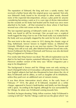The reputation of Edmund, the king and now a saintly martyr, had received a further boost after the original grave was opened. Not only was Edmund's body found to be incorrupt (in other words, showed none of the expected decomposition, always a plus point for anyone considering becoming a saint as it is a sure sign of divine intervention) but the wounds on his body had healed and his head was once more attached to his body – all that remained to show where it had been severed was a thin red crease on the neck.

The last reported opening of Edmund's tomb was in 1198, when the body was found to still be incorrupt. One account says a sceptical monk tugged the king's hair to see if the head really was reattached to the body and was promptly slapped by the saint for his lack of faith.

The next twist in the story comes in 1013 during the chaotic reign of King Aethelraed, forever known to English history as Ethelred the Unready. (Ethelred crops up in our next two stories.) The Saxons and Vikings were still at war and, after Ethelred had been forced into exile, Sweyn Forkbeard, the King of Denmark and Norway was also declared King of England on Christmas Day.

Five weeks later King Sweyn was dead. The official explanation was he died in his bed from injuries sustained following a fall from his horse. However another version of the story says "divine vengeance put a stop to his blasphemy".

The background is Sweyn and his Vikings were not only seizing as much *Danegeld* (what we'd nowadays call protection money) from his new English subjects but had also threatened to burn down the city of Bury St Edmunds and its abbey, as well as slaughter all its inhabitants, unless they paid over an additional sum of ransom money.

It was then divine intervention struck when, in the early hours of February  $3<sup>rd</sup>$  1014, the ghost of St Edmund, mounted on a white charger, appeared in Sweyn's bedchamber and fatally ran him through with a spear. According to the legend, although he was surrounded by his Vikings, he alone saw St Edmund coming towards him.

Terrified, he began shouting "Help, fellow warriors, help! St Edmund is coming to kill me!" But the Vikings could not see the ghost which "ran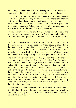him through fiercely with a spear," leaving Sweyn "tormented with great pain until twilight, he ended his life with a wretched death."

You may scoff at this story but six years later in 1020, when Sweyn's son Cnut (or Canute) was king of England, the new monarch visited the shrine of St Edmund and bestowed on it sufficient money to replace the old wooden abbey and fund the building in stone of a grand new Benedictine monastery. Perhaps Cnut was fearful of a similar haunting unless he atoned for the sins of his Viking ancestors?

Sweyn, incidentally, was never actually crowned king of England and his reign was the second shortest of any English monarch. Lady Jane Grey, the 'nine day queen' holds the dubious record for the shortest rule.

Our story is however not yet over, for in the year 1217, during one of the many barons' revolts and rebellions that plagued England during the Middle Ages, a group of French knights stole Saint Edmund's body (or at least part of it) and whisked it away to the Basilica of Saint-Sernin in the French city of Toulouse. The relics and the saint's intercessions are credited with saving the city from the plague in the 17th century

The next development came in 1901, when the Archbishop of Westminster received some of St Edmund's relics from Saint-Sernin that were intended for the high altar of the new Roman Catholic cathedral then under construction at Westminster in London. On their arrival in England, the relics were housed in the Fitzalan Chapel at the Duke of Norfolk's castle at Arundel. However plans were stalled when the antiquarian Dr. Montague Rhodes James (better known as the ghost and supernatural horror story writer M.R. James) expressed concern about the relics' validity. At the time of writing, nearly 120 years later, those plans are still stalled and St Edmund's relics remain to this day remain in a box at Arundel. (As we shall see, this is a common fate for the relics of martyred monarchs.)

There is however another version of the story which says the monks at Bury St Edmunds moved the saint's still incorrupt body to prevent the French from stealing it, so whatever relics they made off with, they did not belong to Edmund.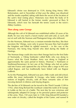Edmund's shrine was destroyed in 1539, during King Henry VIII's Reformation, and in November of that year the abbey was dissolved and the monks expelled, taking with them the secret of the location of the saint's final resting place. Historians now think the body of St Edmund is still buried in the former monks' gravevard at Bury St Edmunds, which now lies beneath the tennis courts in the town's Abbey Gardens.

#### **Then along came George**

Although the cult of St Edmund was established within 20 years of his death, he was very much a Saxon martyr and saint and, as such, did not sit well with the Norman and Plantagenet kings who followed.

For the Normans, Edmund was a constant reminder that they, like their ancestors the Vikings, were only in power because they had invaded the kingdom and killed its rightful monarch – in the case of the Normans, this being King Harold who died during the Battle of Hastings.

The Norman kings could also trace their lineage back to the first Duke of Normandy, a Viking freebooter called Rollo who was doing to France what the Great Heathen Army was doing to England at approximately the same period in history. (Norman = *Nortmann* or Northman/Norseman.) In fact one of the Vikings who led an earlier raid into France and captured the city of Paris after a siege in 845 was called Ragnar, and has traditionally been linked with our Ragnar Lodbrok.

As for the Plantagenets, Edmund was just a little crude and old-school, unlike the more fashionable St George, who better echoed their notions of knightly chivalry, with all those romantic tales of him rescuing damsels in distress and slaying dragons.

The decline of St Edmund can be traced to the Third Crusade (1189 to 1192), when King Richard the Lionheart visited the tomb of St George in Lydda on the eve of a battle. The next day he was victorious and subsequently adopted St George as his personal patron and protector of the army. Then, 150 years later in 1348, King Edward III founded a new order of chivalry, called the Knights of the Garter, and named St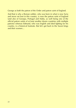George as both the patron of the Order and patron saint of England.

And that is why a Roman soldier, who was born in what is now Syria and never set foot in this country, is now the patron saint of England (and also of Georgia, Portugal and Malta, as well being one of the official patron saints of at least another dozen countries with multiple patrons) whereas Edmund, who was English and died fighting for his country, is a historical footnote. But let's get back to the Saxon kings and their women…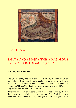

### C<sub>b</sub>APTER 3

### SAINTS AND SINNERS: THE SCANDALOUS LIVES OF THREE SAXON QUEENS

#### **The only way is Wessex**

The Queens of England (as in the consorts of Kings) during the Saxon and early medieval periods rarely receive any coverage in the history books. Hands up anyone who can name the wife of William the Conqueror? (It was Matilda of Flanders and she was crowned Queen of England at Westminster in May 1068.)

As for the earlier Saxon queens… their fame is not helped by the fact they have some distinctly unmemorable Old English names: Ealhswhith, Aethelflaed, Eadgifu, Aelfthryth, Eadburh, Aelfgifu. (Lots of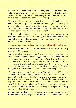Aelfgifus.) Even where they are mentioned, they have distinctly minor walk-on parts to play. For example King Alfred the Great's mother Osburh vanishes from history after giving Alfred, when he was still a child, a book of poetry as a prize for reciting a poem.

Oh yes, and she was also very pious, devout and noble of character, as were almost all the queens of this period, spending most of their spare time founding nunneries which they would then retire to upon widowhood. (Or when their husbands wanted to trade them in for a younger, perkier model but more of that later.)

Well, almost all the queens… as we are now going to look at three of them who achieved a level of notoriety that today would ensure they were all over the tabloid newspapers, trending on social media, and the subject of TV mini-series.

#### **Queen Aelfgifu: from a threesome in the bedroom to the throne**

We start with Queen Aelfgifu who briefly crosses the pages of history in the mid 10th century.

Her name, also known as Elgiva (the modern equivalent would be Ethel or Eliza although there is a suggestion Godiva is derived from the same source) was very popular as a result of St Aelfgifu of Shaftesbury. The latter was married to King Edmund the First (and mother of two subsequent monarchs Eadwig and Edgar) and became revered as a saint after her death. (Not to be confused with St Aelfgifu of Exeter, though there is a possibility they are one and the same person.)

We first encounter 'our' Aelfgifu in November AD 955 at the coronation of 15-year-old King Eadwig (also known as Edwy or Edwin) and yes, this is the son of the late St Aelfgifu of Shaftesbury. Bored with listening to his advisers and church officials discussing politics, he crept out of the coronation feast and was next encountered "minus his crown" in his private chamber "cavorting" with two women: a noblewoman called Aethelgifu and her daughter Aelfgifu. (Obviously nothing Freudian going on there.)

It is not exactly clear from the accounts whether the mother was present merely to encourage Eadwig and Aelfgifu to get to know each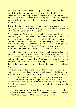other better or whether they were enjoying a threesome. Certainly one report does describe him as having to be "dislodged" from the bed where he was found lying between the two equally amorous women, while another says the king "retreated to his chamber to debauch himself with two women, an indecent noblewoman and her daughter of ripe age".

It is worth noting Eadwig was regarded at the time as being very good looking and usually referred to as King Edwy the All-Fair, so we are talking about a Saxon-era babe-magnet.

The problem for Eadwig was the churchmen who found him in bed and forcibly dragged him back to the coronation feast (with his crown once more properly back on his head) were the Bishop of Lichfield and Dunstan, the Abbot of Glastonbury, the latter being the most influential cleric in the kingdom. Dunstan even forced Eadwig to publicly renounce Aelfgifu as a "strumpet". (Dunstan would go on to be an Archbishop of Canterbury and was subsequently canonised as a saint.)

The problem for Dunstan was he realised that in his anger he had gone too far and made a permanent enemy of the new king, so he took the precaution of seeking sanctuary in the cloisters of his own abbey. Eadwig subsequently married Aelfgifu and either at her behest banished Dunstan or else Dunstan, realising his life was in danger, fled the kingdom to go into exile in Flanders for the remainder of Eadwig's reign.

However matters didn't end there. Although an examination of charters and deeds of that era reveal Eadwig was remarkably generous in terms of making donations and grants to the Church and other religious institutions (his enemies dismissed this as being caused by political weakness and uncertainty) because he had clashed with leading church officials (not just Dunstan but also Archbishop Oda of Canterbury) relations between the king and his advisers rapidly deteriorated.

The crunch came in 957 when the *thanes* (nobles) in the Northern provinces of Mercia and Northumbria switched allegiance to Eadwig's younger brother Edgar and the kingdom was split in half.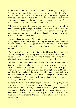At the same time Archbishop Oda annulled Eadwig's marriage to Aelfgifu on the grounds they were "too closely related by blood". In this era the Church held that any marriage within seven degrees of consanguinity was incestuous (this was later reduced to four as the gene-pool for suitable aristocratic partners became shallower) and poor Aelfigu was a third cousin once removed.

Although consanguinity was a common ground for annulling inconvenient royal marriages, usually so one partner could enter into a more politically strategic or financially advantageous marriage, this annulment was unusual and clearly politically motivated as it was made against the couple's will.

Two years later, in October 959, Eadwig conveniently died at the still young age of 19 and the kingdom of England was reunited under his brother Edgar. As for Eadwig's cause of death, this has never been satisfactorily explained and the suspicion remains that he was murdered.

Was Eadwig a 'bad' king? For the standards of his age the answer is no. Perhaps young and headstrong with an eye for the ladies, and, no doubt, convinced all the thanes and bishops, who were forever advising him what to do, were just a bunch of boring old farts.

Unfortunately in an era when the Church had almost a monopoly on literacy and the compiling of chronicles anyone who, like Eadwig, crossed the ecclesiastical establishment was guaranteed a bad press. There is no doubt his character (and that of Aelfgifu) was deliberately tarnished by the authors who wrote the subsequent hagiographies of his arch-enemy St Dunstan. This smear campaign would have also helped bolster Edgar's claim to the throne, particularly in the aftermath of Eadwig's mysterious death.

Incidentally Eadwig's brother Edgar, known as King Edgar the Peaceable (or Peaceful) went on to rule for another 20 years and, according on one historian, enjoyed a reign "singularly devoid of recorded incident". This is not exactly true as according to legend there was one very dark secret in Edgar's life that was to have disastrous consequences for the Kingdom of England but that is a story for later in this chapter.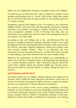What, you ask, happened to Eadwig's "strumpet" and ex-wife Aelfgifu?

It would be nice to think that she, with or without her mother, found another good-looking man to "cavort" with in bed, rather than spend the rest of her life like some has-been reality TV star dwelling upon her 15 minutes of fame.

Something certainly did happen to her. According to one chronicler Aelfgifu initially went into exile and subsequently returned to England and kept a low profile. According to another chronicler, one of the more sycophantic members of the St Dunstan fan club, she was hamstrung in an ambush by Mercian rebels and subsequently died of her injuries. As for the truth?

According to the will Aelfgifu left in the mid-960s/early-970s she became a wealthy landowner holding substantial estates in the south of England which she subsequently left to members of the royal family, the Church, and other religious institutions. Where her fortune came from remains another mystery. There is no indication she ever remarried so it may have been derived as a result of her short marriage to King Eadwig or possibly inherited from her own wealthy family.

Whatever the explanation, in later life Aelfgifu was undoubtedly on better terms with her ex-brother-in-law, with King Edgar describing her as "a certain illustrious matron". After a distinctly raunchy start to her career then, Aelfgifu faded into genteel middle-age, became pious, devout and noble of character before, no doubt, ending her days in a nunnery.

#### **Saint Dunstan and the Devil**

No history of this era is complete without making some mention of St Dunstan (909 to 988) the most important churchman of the time. In fact he was also the most popular English saint for a couple of centuries until he was eclipsed by St Thomas Becket of Canterbury.

He served as an adviser to the courts of King Aethelstan, and King Edmund, as well as Eadwig's successors King Edgar and King Eadweard (or Edward). During this period he rose up the Church hierarchy from being a humble monk, to Abbot of Glastonbury, Bishop of Worcester, Bishop of London and, finally, Archbishop of Canterbury. It was during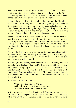these final years as Archbishop he devised an elaborate coronation service for King Edgar involving rituals still followed in the United Kingdom's present day coronation ceremony. Dunstan was canonised (made a saint) in 1029, about 40 years after his death.

Although he was a driving force behind the reform of the Church and is credited with restoring monastic life in England by introducing the Benedictine rule, his career saw several major setbacks. Along with being forced into exile during the reign of King Eadwig, his position as a court favourite under Aethelstan also resulted in him making a number of powerful enemies among jealous courtiers.

Eventually a plot was hatched which saw him accused of witchcraft and black magic, and banished from the palace. He was then physically attacked by his enemies who beat him up and threw him in a cesspool. He managed to escape but his body was afflicted with swellings first thought to be leprosy but later recognised as blood poisoning.

As a monk, Dunstan read, wrote, played the harp and also practised numerous handicrafts, including silversmithing and blacksmithing – and it is this latter skill that is associated with the legend of Dunstan's two encounters with the Devil.

According to one legend, when Dunstan was still a monk, he was in his cell playing his harp when the Devil came to tempt him. The Devil took the form of a pretty young girl but as 'she' danced around the cell, Dunstan spotted the cloven hoofs beneath her billowing skirts. Undaunted, Dunstan picked up a pair of blacksmith's tongs that had been heating on his forge, and pinched the Devil by the nose. As the rhyme tells it…

St Dunstan, as the story goes,

Once pull'd the Devil by the nose With red-hot tongs, which made him roar, That he was heard three miles or more.

In the second tale, the Devil had heard Dunstan was such a good farrier that his shoeing could make lame horses sound again. However when the Devil asked Dunstan to re-shoe his own horse, Dunstan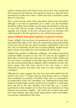nailed a red-hot shoe to the Devil's own cloven foot. This caused Old Nick great pain but Dunstan only agreed to remove it after the Devil promised he would never enter a home that had a horseshoe nailed above its front door.

This is said to be the origin of the superstition about lucky horseshoes although I can find no agreement as to which way the horseshoe should be nailed. Some people say the open end should be at the top, so your luck will not escape, whereas others say it should be the opposite way around, so the luck will pour down on everyone who walks beneath it. But let's get back to our wicked Saxon queens...

#### **Queen Eadburh: from palace poisoner to poverty in Pavia**

Queen Aelfgifu's life may have not progressed the way she may have anticipated that night in 955 when she entertained young King Eadwig in his room but at least she died reasonably comfortably in her own bed. This was definitely not the fate of Queen Eadburh, another Saxon queen whose career path also came dramatically off the rails.

Eadburh (also spelled as Eadburgh or Edburga – the modern equivalent would be Edith) was born in circa AD 773 and was the daughter of King Offa of Mercia (the man who gave his name to Offa's Dyke) and his wife Queen Cynethryth. In the latter part of the 8th century, Offa was the most powerful king in England, while Cynethryth was the only Saxon queen who had coins issued in her own name, a clear indication her power and status. But, there was also a darker side to Cynethryth.

Although her name suggests she may have been descended from the family of the early  $7<sup>th</sup>$  century Mercian King Penda, there is a legend that Cynethryth was actually of Frankish origin and as a consequence of (unspecified) crimes she committed, was condemned by King (later Emperor) Charlemagne's justice system to be set adrift in a small open boat and left to her fate. Readers will recall this was a similar punishment to that handed out to Bern the royal huntsman by King Edmund (*see previous chapter*) – the North Sea in those days must have been littered with open boats being blown hither and thither, carrying the condemned to their fates.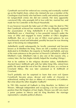Cynethryth survived her enforced sea crossing and eventually washed up on the English shore, where she claimed she was a member of the Carolingian royal family who had been cruelly and unfairly persecuted for (unspecified) crimes she did not commit. Her story apparently convinced Offa, who promptly fell in love with her, married her, and made her his Controller of the Royal Household.

It was however towards the latter part of Offa's reign (he died in 796) that Cynethryth achieved her notoriety when she allegedly organised the assassination of King Aethelberht II of East Anglia in 794. Aethelberht was a 'client-king' (a less powerful monarch under the sway of Offa) and engaged to marry another of Offa's daughters Aelfthryth. But, on a visit to one of Offa's royal palaces, he was treacherously seized and beheaded, possibly because he was showing signs of becoming too independent.

Aethelberht would subsequently be locally canonised and become known as St Ethelbert the King. There are still a number of churches dedicated to St Ethelbert, the majority in Norfolk and Suffolk, and one of the main entrances to the precinct of Norwich Cathedral is called St Ethelbert's Gate. (Ethelbert's fate is also one of the reasons why, a century later, the East Angles initially helped the invading Vikings.)

Not to be outdone in the religious devotion stakes, Aethelberht's shocked fiancé Aelfthryth split with her father King Offa, retired from public life and spent the rest of her life, about 40 years, as a recluse at Crowland Abbey. She was later canonised as St Aelfthryth of Crowland.

You'll probably not be surprised to learn that even evil Queen Cynethryth became pious, devout and noble of character in widowhood, ending her days as abbess of a monastery at Cookham. But what about the other daughter: Eadburh?

In 789 Offa married off Eadburh to King Beorhtric (or Brihtric) of Wessex. Although independent and occupying a far less subservient position than the Kingdom of East Anglia, Wessex was still very much a junior partner to Mercia and for King Beorhtric the marriage represented a valuable political alliance.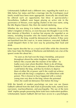Unfortunately Eadburh took a different view, regarding the match as a little below her status and that a marriage into the Carolingian royal family would have been more appropriate. (Ironically she would later be offered such an opportunity but blow it spectacularly.) Nevertheless, Eadburh soon began playing an active role in the governance of Wessex, even signing charters in her own name, using the title *Regina* (Queen). But, then she started interfering.

Whether she was doing it to further her own interests, those of her father's kingdom of Mercia, or even because she thought it was in the best interests of Beorhtric is unclear but anyone she regarded as an enemy, including favourites who she feared might weaken her own influence over the king, would be denounced as traitors. If they were not banished from the court or, in some instances, executed, Eadburh would despatch them in her own way by poisoning their food and drink.

Some reports describe her as a royal serial killer while the chronicler John Asser (later the Bishop of Sherborne and definitely not a fan of the queen) wrote this about her…

> "As soon as she had won the king's friendship, and power throughout almost the entire kingdom, she began to behave like a tyrant after the manner of her father – to loathe every man whom Beorhtric liked, to do all things hateful to God and men, to denounce all those whom she could before the king, and thus by trickery to deprive them of either life or power; and if she could not achieve that end with the king's compliance, she killed them with poison. This is known to have happened with a certain young man very dear to the king; whom she poisoned when she could not denounce him before the king."

With the benefit of modern psychology we now can see Queen Eadburh suffered from the dark triad of personality traits, namely toxic narcissism, machiavellianism, and psychopathy. The use of the term 'dark' implies people possessing these traits have malevolent qualities. Unfortunately Queen Eadburh did not have access to a psychologist,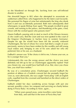so she blundered on through life, lurching from one self-inflicted disaster to another.

Her downfall began in 802 when she attempted to assassinate an *ealdorman* called Worr, who happened to be the latest court favourite. She poisoned his flagon of wine but unfortunately the king also drank from it and was accidentally poisoned. Both men subsequently died whereupon, to quote Bishop Asser again "The people revolted in great crowds, and running to the palace, and thundering at the gates, cried, Down with the wicked queen who poisons men!"

Queen Eadburh, pausing only to steal as much of the Wessex treasury as she could carry, fled the court and was next spotted in the court of the Emperor Charlemagne in Aachen (now in western Germany). Despite his age (he would have been 60) the recently widowed Charlemagne, the last of whose five wives had died a couple of years previously, seems to have been smitten by this wealthy and still young royal widow and, bringing in one of his sons asked her who she preferred, him or his son, as a husband.

Eadburh's answer was "If the choice is left to me, I choose your son, as he is younger than you."

Unfortunately this was the wrong answer and the choice was most definitely not left up to her as Charlemagne apparently replied "Had you chosen me, you would have had both of us. But, since you chose him, you shall have neither."

By way of a consolation prize, Charlemagne secured Eadburh the position of abbess at a Frankish convent but she promptly forgot her vows as, soon afterwards, she was caught "fornicating" with an English exile, expelled from the covenant and banished on the direct orders of Charlemagne.

Eadburh ended her days wandering across Europe with just one servant, possibly a slave, for company and surviving on charity before dying in Pavia (Italy). According to Asser, again…

> "When years passed away, some travellers came home from Italy, and said that in the town of Pavia they had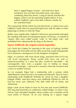been a ragged beggar woman – who had once been handsome, but was then shrivelled, bent, and yellow – wandering about the streets, crying for bread; and that this beggar woman was the poisoning English queen. It was, indeed, Eadburh; and so she died, without a shelter for her wretched head."

The young King Alfred, before he took the throne, is said to have seen Eadburh's tomb when he passed through Pavia with his father on their pilgrimage to Rome to meet the Pope.

Rather more significantly, Eadburh's behaviour permanently damaged the standing and status of subsequent queens of Wessex, so instead of 'Queen' they were called merely 'Lady' or 'the King's wife,' and prohibited from sitting beside the king on the throne.

#### **Queen Aelfthryth: the original wicked stepmother**

Let's finish this chapter by returning to the story of Eadwig's brother King Edgar the Peaceable and his dark secret that would subsequently have disastrous consequences for the Kingdom of England.

Edgar, in common with most Saxon kings, practised what we'd now call serial monogamy. Kings would only have one wife or mistress/concubine at a time but they would be discarded – the consanguinity rules were a popular way of ending no longer convenient marriages – and sent to a nunnery when the monarch took a fancy to another woman.

So, for example, Edgar had a relationship with a woman called Aethelflaed by whom he had a son Eadweard (Edward). Then he had a relationship with Wulfthryth (Wifrida) by whom he had a daughter Eadgyth (Edith). And then along came Aelfthryth (Elfrida) by who he had two more sons: Edmund, who died while still an infant, and Aethelraed.

Edgar's dark secret relates to how he first met and wooed Aelfthryth. The king had heard that an *ealdorman* called Ordgar, in what is now Devon, had a beautiful daughter whose mother was a member of the royal family of Wessex. As he was looking for a queen, Edgar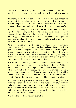commissioned an East Anglian *thegn* called Aethelwold to visit her and offer her a royal marriage if she really was as beautiful as everyone said.

Apparently she really was as beautiful as everyone said but, concealing his true mission from both her and her parents, Aethelwold wooed and married the girl himself, reporting back to Edgar that Aelfthryth was a "vulgar and common-looking" and "unworthy of a royal marriage".

Initially Edgar accepted this explanation but as he continued to hear reports of her beauty, he decided to visit the happy couple himself. News of the pending royal visit threw Aethelwold into a panic and, while begging Aelfthryth to make herself as unattractive as possible and wear her plainest clothes, he inadvertently revealed how he had deceived both her and the king.

As all contemporary reports suggest Aelfthryth was an ambitious woman, the realisation she had missed out on becoming queen did not go down at all well. Repaying Aethelwold's deceit in kind although she agreed to appear dowdy but actually went full 'The Only Way is Wessex' (or *Jersey Shore*) and was presented to the king wearing the Anglo-Saxon equivalent of hair extensions, spray tan, and a gown that was slashed to the waist and split to the thigh.

It was lust at first sight and the couple quickly came to an understanding they would marry, regardless of the fact Aelfthryth already had a husband and Edgar had a wife. This issued was resolved when, shortly after their meeting, Aethelwold was invited to go on a royal hunting expedition and Edgar accidentally speared him with a javelin and killed him. As we will see both later in this chapter and in Chapter 5, royal hunting expeditions could be conveniently lethal.

Soon afterwards Edgar divorced his wife Wulfthryth on the grounds of consanguinity and married Aelfthryth. A few years later still, during the elaborate coronation ceremony (it was actually a second coronation for Edgar) devised by Archbishop Dunstan, Aelfthryth was anointed with holy oil and crowned queen, giving her a higher status than almost all the Wessex queens of that era.

And then they all lived happily ever after.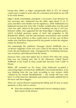Except they didn't as Edgar unexpectedly died in 975 (of natural causes) just a couple of years after his coronation and while he was still in his early thirties.

Edgar's death immediately prompted a succession crisis between his two surviving sons. Eadweard was the older, aged about 12 or 13 years, but there were doubts over his legitimacy, while Aethelraed was legitimate but just nine years old. A further complication was the royal court was split, almost to the point of breaking out into a civil war, between nobles who supported the late King Edgar's religious policy, which included generous grants of land and properties to the Benedictine abbeys, and the anti-monastic reactionaries who wanted to reverse these policies so they could claim or (in the case of those nobles who had been dispossessed by the grants) reclaim the religious estates for themselves.

Not surprisingly the ambitious Dowager Queen Aelfthryth was a vociferous supporter of her own son's claim to the throne. But, in the event, the pro-Eadweard camp, championed by Archbishop Dunstan, was victorious and Eadweard took the throne.

However then came that fateful day in March 978 when the young king was out hunting and, late in the afternoon, visited Queen Aelfthryth at her home at what would later become Corfe Castle in Dorset.

While still mounted on his horse, King Eadweard accepted a welcoming flagon of mead from Aelfthryth's own hands but then, as he was drinking from the cup (and, according to one version, while "allured by her female blandishments" – she would still have only been 33 at the time) her attendants and retainers fatally stabbed him in the back with their daggers.

There are various theories explaining the killing and all raise as many questions as they seek to answer:

◆ Were the murderers in Aethelraed's service seeking to place their master on the throne?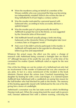- Were the murderers acting on behalf of a member of the Wessex nobility who was concerned the king was becoming too independently minded? (Which also echoes the fate of King Aethelberht II of East Anglia a century earlier.)
- $\cdot \cdot$  Was the murder motivated by a personal quarrel with Eadweard who, according to many accounts, did have a spiteful temper?
- $\cdot \cdot$  Was the murder part of a plot personally devised by Aelfthryth to propel her son to the throne, as was suggested by the chronicler John of Worcester?
- $\triangle$  Did Aelfthryth herself actually plunge a knife into King Eadweard, as the chronicler Henry of Huntingdon later (over a century later as it happens) wrote?
- And, even if she didn't actively participate in the murder, is Aelfthryth still implicated in the regicide for allowing the killers to go free and unpunished?

Whatever the actual cause, the effect was the same: a change of monarch with Aethelraed being crowned a fortnight later on March  $31<sup>st</sup>$  although because of his youth (he was only 12 at the time of his coronation) his mother Queen Aelfthryth ruled as regent for the next six years.

One of the few things we can be certain of is Aethelraed not only had no involvement in the murder of Eadweard but was also unaware of any plots. In fact in a story reminiscent of the incident in the book *Mommie Dearest* about the actress Joan Crawford traumatising her daughter by beating her with a wire coat-hanger, it is claimed Queen Aelfthryth beat Aethelraed with a candlestick on seeing him mourn for the half-brother who had blocked his path to the throne. The memory of this beating apparently stayed with Aethelraed for the rest of his life, giving him a terror of candlelight.

Aethelraed's coronation was the last state event in which Archbishop Dunstan took part. When the young king took the usual oath to govern well, Dunstan addressed him with a solemn warning, criticising the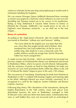violent act whereby he became king and prophesying it would result in misfortune befalling the kingdom.

We can assume Dowager Queen Aelfthryth dismissed these warnings as merely sour grapes by a bad loser whose influence at court was now dwindling but Dunstan turned out to be correct in his predictions. Ruling as King Aethelraed II Unraed, better known to history as Ethelred the Unready, Aelfthryth's son would prove to be one of England's most disastrous monarchs – as we shall see in the next chapter…

#### **Bones of contention**

According to the *Anglo-Saxon Chronicle*, after his murder Eadweard was buried at Wareham "without any royal honours" adding...

> "No worse deed for the English race was done than this was, since they first sought out the land of Britain. Men murdered him, but God exalted him. In life he was an earthly king; after death he is now a heavenly saint. His earthly relatives would not avenge him, but his Heavenly Father has much avenged him."

A couple of years later his body – which was found to be incorrupt (see previous chapter on St Edmund the Martyr) was disinterred and moved to Shaftesbury Abbey, where it as given a lavish reburial. Subsequently, with the assistance of grants on land by King Ethelred, his body was moved to an even more prominent shrine within the abbey as the cult of 'St Edward the Martyr' began to grow in the early 11th century.

The very process of 'translating' (transferring) his body from Warham to Shaftesbury in 981 is credited with healing cripples and restoring sight to the blind. Although Edward was never formally canonized, he is recognised as a saint by the Anglican, Eastern Orthodox and Roman Catholic churches.

Following King Henry VIII's dissolution of the monasteries, during the English Reformation in the 16th century, many holy places were demolished however the nuns at Shaftesbury managed to hide St Edward's relics and save them from desecration. Unfortunately they were so well hidden they were not recovered until an archeological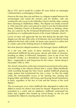dig in 1931 and it would be a further 40 years before an osteologist confirmed them as belonging to Edward.

However the story does not end there as a dispute erupted between the archaeologist who found the remains and his brother, with one wanting the relics to go to the Orthodox Church and the other wanting them returning to Shaftesbury Abbey. The dispute was finally resolved in 1984 when the relics were placed in what is now the St Edward the Martyr Orthodox Church at Brookwood Cemetery in Woking, where they are cared for by the St Edward Brotherhood of monks under the jurisdiction of a traditionalist branch of the Greek Orthodox church.

Lovers of irony will appreciate the fact that during the decades long dispute over the fate of the relics of St Edward, who was killed by being stabbed in the back with a knife, his bones were stored in a cutlery box in a bank vault at the Woking branch of Midland Bank.

But what about his alleged murderess, the Dowager Queen Aelfthryth?

As is the way with many of these notorious Saxon queens, in widowhood Aelfthryth became pious, devout and noble of character, founding an abbey at Wherwell, Hampshire, close to site of her first husband's murder, as a Benedictine nunnery. Later in life she retired there – supposedly to seek forgiveness for her crimes – before dying in November 1000 or 1001.

The church chroniclers of the time remained unconvinced of her piety, one recording in the *Historia Eliensis* that a certain Abbot Byrhtnoth, while travelling through the New Forest, spotted Aelfthryth preparing magic potions that transformed her into a mare "so that she might satisfy the unrestrainable excess of her burning lust, running and leaping hither and thither with horses and showing herself shamelessly to them, regardless of the fear of God and the honour of the royal dignity".

This account goes on to claim Aelfthryth later attempted to seduce the Abbot to ensure his silence and when he refused "desperate not to be unmasked as a witch and an adulteress, Aelfthryth summoned her ladies and, together they heated up sword thongs on the fire and murdered the Abbot by inserting them into his bowels".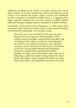Aelfthryth's treatment by the church is in mark contrast to the rest of Edgar's family. As we have already seen, Eadweard would go on to be revered as St Edward the Martyr. Edgar's second wife Wulfthryth became venerated as St Wifrida of Wilton (there is a suggestion King Edgar originally abducted her from the nunnery at Wilton Abbey) while their daughter Eadgyth became venerated as St Edith of Wilton.

Incidentally, at Harewood Forest in Hampshire is a 19th century stone monument called *Dead Man's Plack* which commemorates the killing of Aethelwold by King Edgar. The inscription reads:

> About the year of our Lord DCCCCLXIII upon this spot beyond the time of memory called Deadman's Plack, tradition reports that Edgar, surnamed the peaceable, King of England, in the ardour of youth love and indignation, slew with his own hand his treacherous and ungrateful favourite, owner of this forest of Harewood, in resentment of the Earl's having basely betrayed and perfidiously married his intended bride and beauteous Elfrida, daughter of Ordgar, Earl of Devonshire, afterwards wife of King Edgar, and by him mother of King Ethelred II. Queen Elfrida, after Edgar's death, murdered his eldest son, King Edward the Martyr, and founded the Nunnery of Worwell.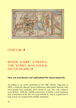

### CI<sub>D</sub>APTER 4

### SINNER: EADRIC STREONA, THE WORST MAN VOUVE NEVER HEARD OF

#### **How one treacherous earl undermined the Saxon monarchy**

According to an article published in the *BBC History Magazine* in 2005, a relatively obscure Saxon nobleman called Eadric Streona, who most people have probably never heard of, was "the 11th century's worst Briton". With the 1000th anniversary of Eadric's most notorious acts of treachery in the AD 1016 just behind us, now is a good time to look at how he acquired this terrible reputation.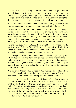The year is 1007 and Viking raiders are continuing to plague the now unified Saxon kingdom of England. Far from appeasing them, the payment of *Dangeld* (bribes of gold and silver bullion to buy off the Vikings – today we'd call it protection money) is just encouraging their fleets of longships to return each year to demand yet more money.

As the poet Rudyard Kipling noted nearly some 900 years later "Once you have paid him the *Danegeld*, you never get rid of the Dane!"

On the throne (he ruled intermittently from 978 to 1016, including a period in exile when the Vikings took the crown) is one of England's most disastrous monarchs, namely King Aethelraed II Unraed. Known to history as Ethelred the Unready – we met him at the end of the last chapter – his unfortunate nickname is based upon a pun – *Aethelraed* meaning noble counsel, while *Unraed* means no or bad counsel.

Having paid out a record 36,000 lbs in weight of silver (that's over 16 tons) by way of *Danegeld* in 1007 to the Danish Viking leader King Sweyn Forkbeard, the following year Ethelred ordered the construction of a national fleet of warships to defend the country.

King Sweyn, it should be added, held a personal grudge against Ethelred as the Dane's sister Gunhilde was one of the victims of the socalled Saint Brice's Day Massacre in November 1002, when Ethelred ordered the slaughter of every Dane in England. There is still a dispute among historians as to whether the death toll amounted to thousands or just a few hundred.

And so it was that in 1008, a fleet of 300 warships assembled off the port of Sandwich in Kent. At the time, this was the largest English fleet ever seen. Unfortunately Ethelred's plans soon began to unravel.

The fleet was under the command of Sussex *thegn* (an aristocratic courtier) called Wulfnoth Cild. However another courtier called Brihtric, the brother of the powerful Ealdorman (later called earls) Eadric Streona of Mercia, accused Wulfnoth of treachery. Wulfnoth denied the charges and John of Worcester, a chronicler of these times, was also of the opinion the charges had been brought unjustly. But seeing the dangerous position he was in, Wulfnoth led a mutiny and sailed away with 30 ships from the fleet.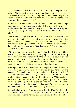This, incidentally, was the first recorded mutiny in English naval history. Not content with mutinying, Wulfnoth and his ships then proceeded to commit acts of piracy and looting. According to the *Anglo-Saxon Chronicle*, he "went harrying everywhere along the south coast and did all manner of evil".

At this point Brihtric confidently announced that Wulfnoth's ships could easily be surrounded and captured. Then, taking him with him 80 ships from the fleet, he sailed away in pursuit, the *Chronicle* reports, "thought to win great fame for himself by taking Wulfnoth dead or alive".

Sadly Brihtric's ships ran into a severe storm, which wrecked some boats and drove others ashore. But, worse was to come as Wulfnoth's fleet chose this moment to return to the Sandwich area and commenced burning or sinking as many of Brihtric's stricken ships as they could lay their hands on. After that, they left English waters and sailed away into exile.

With over one-third of their ships now either disabled or lost without ever having encountered a Viking longship, confusion and disarray descended upon the English fleet. Ethelred and his councillors left Sandwich and made their way overland back to the royal court, while the now leaderless fleet (the king was the notional commander-inchief) split up and made their way back to their home ports.

Amazingly, this was not the end of this string of maritime disasters, as a few days later a new Viking fleet arrived off the Kent coast and landed at Sandwich. And there it remained until it was bought off several months later with a *Danegeld* payment of a further 48,000 lbs of silver. It is estimated that during Ethelred's rule, the Vikings extorted more than 100 tons of silver from England by way of *Danegeld* payments – although after the events off Sandwich in 1008, the King's priests claimed it was all thanks to Ethelred's call for prayer and fasting (not increased taxes) that the Vikings finally departed!

But, as Kipling warned, "you never get rid of the Dane" and in 1013 King Sweyn Forkbeard was back with an army of invasion that swept away Ethelred's regime, forcing the hapless king to flea into exile in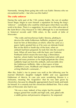Normandy. Among those going into exile was Eadric Streona who we encountered earlier – but who was this Eadric?

#### **The crafty enforcer**

During the early part of the 11th century Eadric, the son of another Saxon *thegn*, began to earn himself a reputation for being the king's 'enforcer' – somebody who could be relied upon when there was dirty work to be done. There is a suggestion, he was one of the advocates of the Saint Brice's Day Massacre in 1002 allthough he is not mentioned in historical records until 1006 when, in the words of John of Worcester:

> "The crafty and treacherous Eadric Streona, plotting to deceive the noble Ealdorman Aelfhelm, prepared a great feast for him at Shrewsbury at which, when he came as a guest, Eadric greeted him as if he were an intimate friend. But on the third or fourth day of the feast, when an ambush had been prepared, he took him into the wood to hunt. When all were busy with the hunt, one Godwine Porthund [which means the town dog] a Shrewsbury butcher, whom Eadric had dazzled long before with great gifts and many promises so he might perpetrate the crime, suddenly leapt out from the ambush, and execrably slew the Ealdorman Aelfhelm. After a short space of time [Aelfhelm's] sons, Wulfheah and Ufegeat, were blinded, at King Ethelred's command…"

After this, Eadric's rise to power was swift as the following year he married Ethelred's daughter Eadgyth (Edith) and was appointed Ealdorman of Mercia. In case you were wondering *Streona* is a nickname, meaning 'the Acquisitive' that he was later given by chroniclers, because he allegedly appropriated church lands and funds for himself. It is certainly true the chroniclers disliked him. This is what John of Worcester also had to say:

> "He was a man, indeed, of low origin, but his smooth tongue gained him wealth and high rank, and, gifted with a subtle genius and persuasive eloquence, he surpassed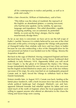all his contemporaries in malice and perfidy, as well as in pride and cruelty."

While a later chronicler, William of Malmesbury, said of him:

"This fellow was the refuse of mankind, the reproach of the English; an abandoned glutton, a cunning miscreant; who had become opulent, not by nobility, by specious language and impudence. This artful dissembler, capable of feigning anything, was accustomed, by pretended fidelity, to scent out the King's designs, that he might treacherously divulge them."

As far as our story is concerned, we have yet to see the full scope of Eadric's 'perfidy' however it is widely believed he was one of the chief advocates of the policy of trying to appease the Vikings with payments of *Danegeld* (rather than retaliate with force and face them in battle) because he was also embezzling a slice of the *Danegeld* silver for his own personal use before it was handed over to the Vikings. Streona the Acquisitive indeed!

But back to the saga of Ethelred. Having conquered England and been declared king in late 1013, the Danish leader Sweyn Forkbeard died suddenly in early February 1014. (Apparently killed, you will recall from Chapter 2, by the ghost of St Edmund the Martyr.) His Viking troops immediately declared his son Canute (or Cnut) as his successor but the English invited Ethelred to return and, in one of the few military successes of his reign, his army marched on an inadequately prepared Canute and, in April, forced the Vikings to withdraw back to their Danish homelands.

Sixteen months later, in August 1015, Canute was back, landing at the fateful place Sandwich, with a fresh invasion force but only to find the whole political landscape had changed. Ethelred's son and heirapparent Edmund Ironside had rebelled against his father and now ruled much of the north of England, where the local population were willing to support anyone who offered an alternative to the chaos the Viking and Saxon kings were causing.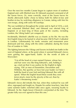Over the next few months Canute began to capture more of southern England and, with Ethelred now ill, Edmund assumed command of all the Saxon forces. Or, more correctly, most of the Saxon forces for shortly afterwards Eadric chose to betray both his father-in-law and brother-in-law by switching allegiance to Canute, taking with him his own troops, along with some 40 warships.

The war rumbled on throughout the winter and in April of 1016, a sick and exhausted Ethelred died, and Edmund was elected king of England, or at least king of those parts of the country, including London, the Viking hadn't yet conquered.

Incidentally, Ethelred's afterlife was as chaotic as his life. He was the first English king to be buried in what became Old St Paul's Cathedral in London. Unfortunately his tomb, remains and monument were destroyed and lost, along with the entire cathedral, during the Great Fire of London in 1666.

The fighting between the Vikings and Saxons included one battle in the west of England where, at the point where it seemed Edmund's forces were gaining the upper-hand, Eadric (in the words of John of Worcester):

> "Cut off the head of a man named Osmear, whose face and hair were very like King Edmund's, and, holding it up, cried out that it was useless for the English to fight, saying, 'Oh! ye men of Dorsetshire, Devonshire and Wiltshire, flee quickly; ye have lost your leader: Lo! here I hold the head of your lord and king Edmund: flee with all speed.' When the English heard these words they were terror-struck, more by the atrocity of the act, than by Eadric's threatening words."

Edmund's forces did initially flee but, when they realised he was still alive, regrouped and fought on. Despite his earlier treachery, later that same summer Eadric switched sides once again, swearing loyalty to Edmund. As the *Anglo-Saxon Chronicle* commented at the time "No greater folly was ever agreed to than this one."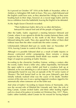So it proved on October 18<sup>th</sup> 1016 at the Battle of Assandun, either at Ashdon or Ashingdon Hill, both in Essex. This was a fight Edmund and the English could have won, as they attacked the Vikings as they were heading back to their ships, however at a crucial stage Eadric and his forces withdrew from the battlefield, leaving the English to be defeated.

#### As the *Anglo-Saxon Chronicle* recorded:

"Then Ealdorman Eadric did as he so often did before, betrayed his natural lord and all the people of England."

After the battle, Eadric organised a meeting between Edmund and Canute, where it was agreed to divide the country between them, with Canute ruling everywhere to the north of the River Thames and Edmund taking the south. They also agreed that if either of them died without issue then the other would take the entire country.

Unfortunately Edmund died just six weeks later on November 30<sup>th</sup> 1016, leaving Canute in control of the whole country.

Although it is possible Edmund died as a result of battle injuries or disease contracted whilst campaigning, there remains a strong suspicion that his conveniently timed death was murder – with the finger of suspicion pointing at Eadric Streona.

According to the chronicler Geoffrey Gaimar, writing a century after the events, Eadric hired a killer who, rather improbably, hid beneath the open outlet to a privy (toilet) and fired a crossbow bolt up at Edmund, as he was attending to a call of nature. (A historical event that subsequently found its way into an episode of the TV series *Game of Thrones*.) The bolt buried itself so far into poor Edmund's guts that initially nobody realised what was the cause of his death. Another version of this tale says it was a spring-triggered crossbow rigged to fire automatically when someone sat on the toilet seat.

And what of Eadric? According to Queen Emma of Normandy, who was the second wife of Ethelred the Unready and, later, the wife of King Canute, Canute invited Eadric and three other leading English earls to a feast at his palace in London on Christmas Day, 1017. There, Eadric rather foolishly asked Canute for his reward for having helped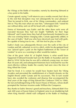the Vikings at the Battle of Assandun, namely by deserting Edmund at a key point in the battle.

Canute agreed, saying "I will return to you a worthy reward, but I do so to the end that deception may not subsequently be your pleasure." Then he turned to Eirik, one of his Viking commanders, and ordered him to "Pay this man what we owe him," whereupon Eirik "raised his axe without delay and cut off his head with a mighty blow."

Emma of Normandy says Eadric and the other three earls were all executed because they had not fought "faithfully for their liege Edmund" and Canute knew they had all treacherously hesitated to see who was winning before changing sides. Canute apparently added, in the case of Eadric "shall you who have deceived your lord with guile, be capable of being true to me… kill him lest he play us false."

Eadric's body was subsequently thrown over the walls of the city of London and left, unburied, to rot in a ditch, while his decapitated head was "placed upon a pole on the highest battlement of the Tower of London" to serve as a warning to other would-be traitors.

One of the great 'what ifs' of English history is what would have happened if Edmund Ironside had won the Battle of Assandun and not died in 1016? At the time he was still a relatively young man, no more than 30 years old, and subsequent historians have reckoned he was the most effective military leader the country had seen since the time of King Alfred the Great.

Had he lived, it is certain he would have beaten back the Viking invaders and prevented the establishment of a Danish dynasty on the English throne under Canute and his successors. This in turn would have also avoided the confusion and disarray that accompanied the final years of the reign of King Edward the Confessor (1042 to 1066), the last unchallenged king of the Saxon House of Wessex, whose death prompted the Norman invasion under William the Conqueror.

But, thanks to Eadric Streona's greed and treachery, Edmund didn't live and, 600 years of Saxon history in England came to an shuddering halt when King Harold's shield wall collapsed at the Battle of Hastings,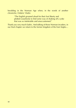heralding in the Norman Age when, in the words of another chronicler, Orderic Vitalis:

> "The English groaned aloud for their lost liberty and plotted ceaselessly to find some way of shaking off a yoke that was so intolerable and unaccustomed."

Thank you very much Eadric. And talking of those Norman invaders, in our final chapter we return to the former kingdom of the East Angles…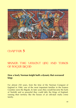

### C<sub>b</sub>A<sub>P</sub>T<sub>ER</sub> 5

### SINNER: THE VIOLENT LIFE AND TIMES OF ROGER BIGOD

#### **How a lowly Norman knight built a dynasty that overawed kings**

For almost 250 years, from the time of the Norman Conquest of England in 1066, one of the most important families in the Eastern Counties were the Bigods. In later years they would become the Earls of Norfolk and so powerful they could defy the Kings of England, running their territory like the bosses of an old-style mafia crime family.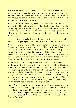We may be dealing with members of a family who lived and died hundreds of years ago but in many respects they were a thoroughly modern bunch of ruthless back-stabbers, liars and rogues who always had an eye on the main chance and didn't care who they had to trample over or betray to achieve it.

In an era of fickle monarchs, when a favourite could fall from power overnight and the following morning find his head nodding on a pike staring sightlessly into the rising sun, the Bigods were masters of playing this real-life *Game of Thrones* – and of keeping their heads while those all around were losing theirs. But where did they spring from?

The first Bigod to make his bloody mark on the pages on English history was Roger Bigod. The month was March. The year 1067.

Although Duke William of Normandy, better known as William the Conqueror although he was also called William the Bastard), had been crowned King of England on Christmas Day 1066, many parts of England were still resisting Norman rule. This included East Anglia, where one of the leading churchmen Abbot Aelfwald (or Ethelwold) had been put in command of the naval and military defence of the East Coast by Harold Godwinson, the last Saxon King of England.

By the spring of 1067, King Harold had been dead six months (killed by the arrow that hit him in the eye during the Battle of Hastings) leaving Abbot Aelfwald and his followers holed up in the isolated but seemingly impregnable island fortress of St Benet's Abbey, in what is now the carefully tended Norfolk Broads but was then just a maze of rivers, meres, estuaries, mud banks and salt marshes accessible only by boat or across a long narrow causeway from Horning. With all previous frontal assaults on the Abbey having failed, William now put young Roger Bigod in charge of the siege of St Benet's.

Until a few years previously, the Bigods (or *le Bigots* as it was originally spelled) had been a family of poor and relatively obscure knights from Calvados in Normandy. One source describes Roger, born in around 1040, as a 'hearth knight' in the service of Duke William's half-brother Odo, the Bishop of Bayeux. (The same man who commissioned the Bayeux Tapestry.)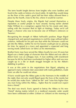The term hearth knight derives from knights who were landless and lived in the castle or fortress of a local noble. At night they would sleep on the floor of the castle's great hall but their status allowed them a place by the hearth, close to the fire, where it would be warmer.

Despite these lowly origins, the Bigods had earned themselves a reputation as useful people to have around, having earlier alerted Duke William to a conspiracy against him by his cousin and, later, sailing with the invasion fleet to fight at Hastings. Today we'd call Roger a chancer who rose to become one of William's enforcers or 'heavies'.

Recognising the strength of Abbot Aelfwald's position, Roger Bigod changed tack and opened negotiations to end the siege without further violence. Aelfwald for his part saw that while the Normans could not get into the Abbey, neither he nor his Saxons could get out so, playing for time, he agreed to a truce and appointed a respected and long serving monk called Essric (or Edric) as his intermediary.

Brother Essric may have served the Abbey loyally for over 20 years but Bigod was a better judge of character than the Abbot and was able to detect Essric was an unhappy man. A man seething with resentment because he felt he had been overlooked for higher office and was now caught up in a life or death struggle brought on by the Abbot's dabbling in politics.

It was at this point in the negotiations that Bigod, adopting an approach many centuries later associated with mafia godfathers, made Essric an offer he could not refuse.

If Essric would open the Abbey gates to the Normans in the middle of the night, then not only would Bigod spare the lives of the monks but he would also make Essric "abbot for life" and "raise him higher than any man living within the Abbey... higher than he would ever expect from a friend."

The deal was struck. Essric agreed to betray the Abbey to his new "friend" during matins (which in a medieval monastic order would have been celebrated at either 2:00am or 3:00am) on the morning of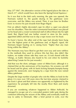May  $25<sup>th</sup>$  1067. (An alternative version of the legend places the date as March 21<sup>st</sup>, which would have also been the Spring/Vernal Equinox.)

So it was that in the dark early morning, the gate was opened, the Normans rushed in, the guards dozing in the gatehouse were overcome, and the Abbey was seized. Then, it was time for Brother Essric to receive his just rewards from Roger Bigod.

First an abbot's highly decorated *cope* (in effect a cape) was placed over his shoulders. Then the *mitre* (ceremonial head-dress) was placed on his head and a *crosier* (ceremonial staff of office) thrust into his right hand. But, Bigod had one further reward in store for the newly appointed abbot and that was to slip a rope noose over his head.

To Essric's horror, the other end of the rope had already been hung over the highest point of the gatehouse and, at Bigod's signal, the Normans began hauling on it, raising Essric "higher than any man living within the Abbey".

The Normans may have liked to get their own way and were ruthless in the methods they used to achieve this but they also didn't like traitors, no matter whose side they were on. (A trait shared with the Vikings, as Eadric Streona also found to his cost when he foolishly asked King Canute for his just rewards.)

And that was the short, unhappy career of Abbot Essric although it is claimed that on the anniversary of his treachery, his screams can still be heard and his ghost, with its heels kicking bumpity-bumpity-bump against the stonework, seen hanging by a rope from the now ruined abbey gatehouse.

Despite the large number of people who visit the Abbey to look for the ghost, it is now over 100 years since the last time anyone claimed to see Essric's ghost and that witness was apparently so frightened by the experience he promptly fell into the nearby River Bure and nearly drowned.

If you are wondering whatever happened to Abbot Aelfwald, he managed to escape out of a concealed *postern* (side) gate during the confusion following the seizure of the Abbey and eventually made his way to safety in Denmark. After a brief period in exile, ever the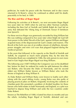politician, he made his peace with the Normans and in due course returned to St Benet's, where he continued as abbot until his death, peacefully in his bed, in 1089.

#### **The Rise and Rise of Roger Bigod**

Following his activities at St Benet's, we next encounter Roger Bigod two years later (in 1069) when he and two other Norman warlords, including the then Earl of Norfolk and Suffolk Ralph de Gael led an army that defeated the Viking king of Denmark Sweyn II Estridsson near Ipswich.

For these services Roger was generously rewarded by King William but this was nothing compared to five years later when Ralph de Gael fell from power in the failed 'Revolt of the Earls' against William and Roger acquired many of the dispossessed de Gael's estates and manors. (The Revolt of the Earls was one of an endless stream of rebellions, dynastic power struggles and mini civil wars that plagued England during the medieval period.)

In the years that followed, in his capacity as the Sheriff of Norfolk and Suffolk, he acquired so much more property that, by the time the *Domesday Book* was completed in 1086, the only person to own more land in East Anglia than Roger Bigod was King William.

The following year (1087) William the Conqueror was on his deathbed but, before he died, he ordered his realm be split between his eldest son Robert, who became the Duke of Normandy, and his second eldest son William (better known as William Rufus) who took the throne of England as King William II.

As Duke Robert and William Rufus were known to loathe each other (along with the usual sibling rivalry, young Rufus was also guilty of playing practical jokes on Robert, frequently involving the contents of chamber-pots) this presented a problem of divided loyalties for those barons who held estates in both Normandy and England, so a plot was hatched to depose King William and unite the two countries under Duke Robert.

Known as The Rebellion of 1088, it lasted less than six months and saw the rebels, including Roger Bigod of Norfolk, defeated and out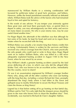manoeuvred by William thanks to a winning combination (still favoured by politicians today) of good luck, promises, and bribery. However, unlike the brutal punishment normally inflicted on defeated rebels, William Rufus took the advice of the barons who had remained loyal to him and opted for leniency.

In the words of one adviser: "If you temper your animosity against these great men and treat them graciously here, or permit them to depart in safety, you may advantageously use their amity and service on many future occasions. He who is your enemy now, may be your useful friend another time."

For Roger Bigod, the aftermath of the rebellion was that although he lost some of his lands, he kept his head and went on to regain those estates when he reconciled with the king.

William Rufus was actually a far smarter king than history credits him as being. Unfortunately history is written by the survivors and Rufus received very critical coverage from the Church, who were practically the only people who could read or write in those days. Roger Bigod went on to outlive William Rufus, who was killed in a still never adequately explained hunting accident in August 1100 in the New Forest, when he was struck by an arrow.

Was William's death a genuine hunting accident caused by the fatal arrow deflecting off a tree, in which case why did the alleged killer Walter Tirel, who was known to be an excellent archer, immediately flee the country, never to return?

Or was it an assassination engineered by William's younger brother Henry who, along with all the other courtiers who were out hunting with the king that day, including a certain Richard de Clare, promptly abandoned the king's body where it had fallen in the forest and galloped away to nearby Winchester to secure the Royal Treasury and claim the throne as King Henry?

Legend has it that before setting off to go hunting on that fateful day, William said to Tirel "It is only right that the sharpest arrows should be given to the man who knows how to shoot the deadliest shot." Tirel, incidentally, was married to Richard de Clare's daughter Adelize.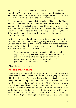Passing peasants subsequently recovered the late king's corpse and carried it to Winchester, where it received a proper Christian burial – though the church chroniclers of the time regarded William's death as "an Act of God" and a suitable end for "a wicked king".

There again they were not entirely impartial as William and the Church had continually clashed throughout his reign and he had repeatedly appropriated ecclesiastical revenues and tithes for his own personal use. In fact in 1096, when the barons complained they did not have enough money to pay the latest tax he had imposed on them, William Rufus, possibly, but only possibly, in jest suggested they should rob the shrines of the saints.

For their part, the medieval chroniclers in their monasteries did their best to blacken William's name, suggesting he was not a committed Christian and still indulged in unnatural, pagan rites. In fact as recently as the 1980s, the English academic and specialist in medieval history Frank Barlow described King William Rufus as:

> "a rumbustious, devil-may-care soldier, without natural dignity or social graces, with no cultivated tastes and little show of conventional religious piety or morality – indeed, according to his critics, addicted to every kind of vice, particularly lust and especially sodomy."

William Rufus never married.

#### **The Perils of Royal Hunts**

We've already encountered the dangers of royal hunting parties. The Saxon *thegn* Aethelwold lived just long enough to regret going hunting with King Edgar. Edgar's son King Eadweard made a fatal career move calling in to see his stepmother, the Dowager Queen Aelfthryth on his way back from a day's hunting. As for William Rufus… there's a certain irony about his death in the New Forest, which had been set aside by his father William the Conqueror as an area of land reserved for the hunting of wild boar and deer by the royal family. (The word forest is derived from Latin/Old French word *forestis* meaning a wooded area kept for hunting.) Not only was William Rufus killed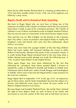there but his older brother Richard died in a hunting accident there in 1074, but three months earlier in May 1100, one of his nephews was killed by a stray arrow.

#### **Bigod's Death and Ecclesiastical Body-Snatching**

But back to Roger Bigod who we next hear of being one of the witnesses recorded on the *Charter of Liberties* which the new monarch King Henry I made as part of his coronation promises. The *Charter of Liberties* is one of those overlooked events in English medieval history that can now be seen as a forerunner of the more famous *Magna Carta*.

That said this was no 'Bill of Rights' for the benefit of 'the Common Man' but rather a series of promises and implicit bribes to mollify the kingdom's earls and barons who were less than enthusiastic about Henry's accession.

Henry may have been the younger brother of the late King William Rufus but many nobles still favoured handing the crown to Duke Robert of Normandy. Whatever the merits of the coronation charter, it is worth noting Roger Bigod remained loyal to the new king when a further attempt unsuccessful attempt was made the following year, in 1101, to place Duke Robert on the English throne.

There again, Roger may have been influenced by the fact that following his coronation, King Henry granted Bigod a licence to rebuild his castles at Thetford in Norfolk and Walton in Suffolk (near Felixstowe) and to build new castles at both Bungay and Framlingham in Suffolk, which were to become the Bigod family's seats of power for the next two centuries.

Roger Bigod died in September 1107 at the age of 67, an impressive age for those times, and his body immediately became the subject of a bizarre (and distinctly ironic given his action 40 years earlier at St Benet's) dispute between rival clerics.

Because Roger had founded Thetford Priory, the monks there claimed the right to bury Roger's body (as well as those of his family and successors) as was the custom of the time and as had been set out in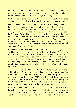the priory's foundation charter. The monks, incidentally, were not offering to bury Roger out of any particular affection for the man but to ensure the continued financial patronage of the Bigod family.

All those votive candles and chantry masses for the souls of the dead cost money and could provide a valuable source of income to a priory.

However Herbert de Losinga, the new Bishop of Norwich, argued that the body of the most important magnate in Norfolk should be buried in the new cathedral being built in the most important town in Norfolk, namely Norwich. The bishop also had ulterior motives. He had been the Bishop of Thetford but, six years previously, had transferred the *see* (the location of the bishopric) from Thetford to Norwich and wanted to build up the reputation of Norwich as East Anglia's premier ecclesiastical hub at the expense of Thetford. And, of course, having Roger buried in the new cathedral would secure the continuing patronage of the Bigod family.

In the event Bishop Losinga (another Norman used to getting his own way) had Roger's decomposing body stolen from Thetford Priory in the middle of the night (in a case of history repeating itself, while the monks were distracted celebrating matins) and (according to one version of the story) "dragged" away, presumably going bumpitybumpity-bump against the roadway, all the way to Norwich Cathedral for reburial. The current resting place of Roger Bigod's mortal remains are unknown.

By quirk of ecclesiastical fate, the Abbot of St Benet's is also the Bishop of Norwich, so St Benet's Abbey, where the Roger Bigod saga first began, avoided being added to the list of abbeys and priories to be broken up during King Henry VIII's Dissolution of the Monasteries. However as the abbey was redundant by the mid-16th century, the then Bishop of Norwich had it demolished and its building materials recycled and sold off to help pay the diocese's debts.

Apart from some fragments of walls, all that now remains is a part of the gatehouse (where Essric came to grief) although these ruins are confusing as 200 years later, during the Georgian era, a large (and now also derelict but picturesque) windmill was erected in the middle of the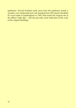gatehouse. Several hundred yards away from the gatehouse stands a wooden cross (fashioned from oak donated from HM Queen Elizabeth II's royal estate at Sandringham in 1987) that marks the original site of the abbey's high altar – and also provides some indication of the scale of the original buildings.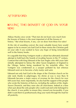### AFTERWORD:

### **HAVING THE BENEFIT OF GOD ON YOUR** SIDE

Aldous Huxley once wrote "That men do not learn very much from the lessons of history is the most important of all the lessons of history." But what lessons, if any, can we draw from these five tales?

At the risk of sounding cynical, the most valuable lesson here would appear to be to ensure you had God (in these stories the Christian god) on your side if you wanted to have any hope of being remembered well in the history books.

It is arguable that King Vortigern made a valiant but ultimately doomed attempt to hold back the hoards of invading Saxons in the  $5<sup>th</sup>$  century. Contrast that with King Edmund of the East Angles who 400 years later initially attempted to betray the other Saxon kingdoms of England to the Vikings, before being murdered by his erstwhile allies. Yet Vortigern was condemned as a usurper polluted by lust whereas Edmund went on to become a holy martyr and saint.

Edmund not only had God in the shape of the Christian church on his side (and, thanks to pilgrimages, his shrine at was is now Bury St Edmunds became a major source of revenue for the church for over 600 years) but, more importantly, he also had the support of the people who wrote the histories of that era, including the authors of the *Anglo-Saxon Chronicle*, and they were also all churchmen. Indeed at a time when just about the only people who could read and write belonged to the church, it was politic to ensure they viewed you favourably, if you didn't want them to posthumously drag your name through the mud for all posterity.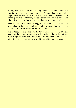Young, handsome and foolish King Eadwig crossed Archbishop Dunstan and was remembered as a 'bad' king, whereas his brother Edgar the Peaceable was an adulterer and a murderous rogue who kept on the good side on Dunstan, and so was remembered as a 'good' king who enjoyed a reign "singularly devoid of recorded incident".

Even Roger Bigod's double-dealing, brutal 'might is right' ways were overlooked by the church on his death, to the extent there was even a scramble for the custody of his mortal remains.

Just as today 'celebs', socialmedia 'influencers' and reality TV stars recognize the importance of keeping the media on their side, so it was in Dark Age England that if you wanted to be remembered as a saint rather than as a sinner, so it was vital to have God on your side.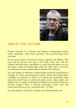

### ABOUT THE AUTHOR

Charles Christian is a barrister and Reuters correspondent turned writer, podcaster, radio show presenter and award-winning tech journalist.

He has always had a soft spot for history, legends and folklore. This may well be because one side of his family came over with the Vikings, liked the lootin' and pillagin' so much they decided to stay on and open a shop in Scarborough, while the other side is now best remembered for some unpleasantness aboard *H.M.S Bounty*.

He is the author of *Yorkshire's Weird Wolds: Inside the Wold Newton Triangle*, he writes and presents the weekly *Weird Tales Radio Show* (available as a podcast, as well as on internet and paranormal radio networks) which looks at witchcraft, ghost stories, urban myths and folklore. He is a regular contributor on folklore and medieval history to *Ancient Origins*. And, a national newspaper really once did commission him to go on a werewolf hunt – in Hull!

For more details visit Charles' website www.urbanfantasist.com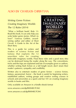### ALSO BY CHARLES CHRISTIAN

### *Writing Genre Fiction: Creating Imaginary Worlds: The 12 Rules* (2014)

"What a brilliant book! Rule 13: Read this book. It can only help you write better genre stories. What's to lose?" Vanessa Gebbie, awardwining author and editor of Short Circuit: A Guide to the Art of the Short Story

This is a guide for writers and readers of science fiction and fantasy that explains the 12 unwritten rules for creating



believable imaginary worlds. Flout these rules and a good story idea can be destroyed losing the reader along the way. The conventions, tricks and the trips are explained and lots of examples given so authors, whether writing flash fiction or a full length novel, don't strain their reader's patience, sympathy and credibility.

Written also to entertain readers of genre fiction – science fiction, fantasy, paranormal, horror – the book is useful for beginning writers, established authors, writing groups and creative writing courses in schools and universities as a quick and fun 101 on creating imaginary worlds in books and film.

Only available on Amazon in a Kindle ebook format

```
www.amazon.com/dp/B00MELTC84/
```

```
www.amazon.co.uk/dp/B00MELTC84/
```